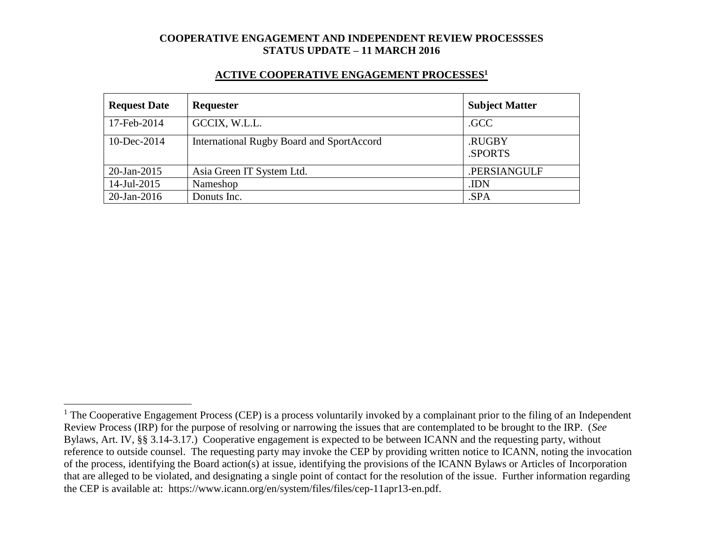#### **ACTIVE COOPERATIVE ENGAGEMENT PROCESSES<sup>1</sup>**

| <b>Request Date</b> | Requester                                        | <b>Subject Matter</b> |
|---------------------|--------------------------------------------------|-----------------------|
| 17-Feb-2014         | GCCIX, W.L.L.                                    | .GCC                  |
| 10-Dec-2014         | <b>International Rugby Board and SportAccord</b> | .RUGBY<br>.SPORTS     |
| $20$ -Jan-2015      | Asia Green IT System Ltd.                        | .PERSIANGULF          |
| 14-Jul-2015         | Nameshop                                         | .IDN                  |
| $20$ -Jan-2016      | Donuts Inc.                                      | .SPA                  |

 $1$  The Cooperative Engagement Process (CEP) is a process voluntarily invoked by a complainant prior to the filing of an Independent Review Process (IRP) for the purpose of resolving or narrowing the issues that are contemplated to be brought to the IRP. (*See* Bylaws, Art. IV, §§ 3.14-3.17.) Cooperative engagement is expected to be between ICANN and the requesting party, without reference to outside counsel. The requesting party may invoke the CEP by providing written notice to ICANN, noting the invocation of the process, identifying the Board action(s) at issue, identifying the provisions of the ICANN Bylaws or Articles of Incorporation that are alleged to be violated, and designating a single point of contact for the resolution of the issue. Further information regarding the CEP is available at: https://www.icann.org/en/system/files/files/cep-11apr13-en.pdf.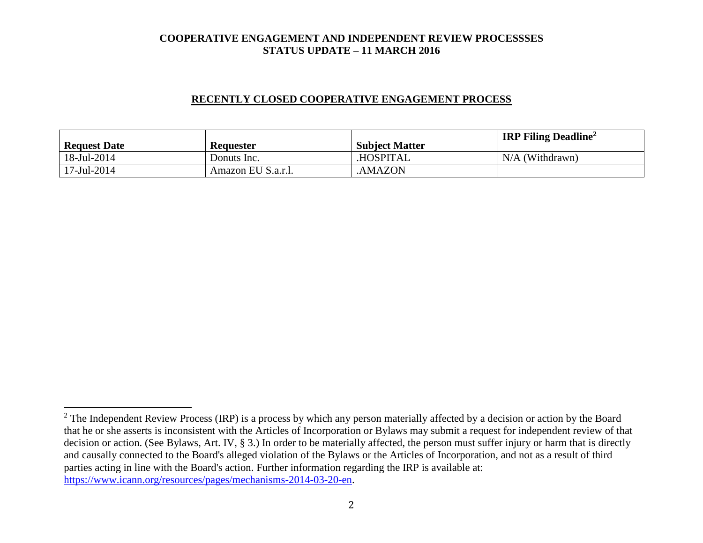### **RECENTLY CLOSED COOPERATIVE ENGAGEMENT PROCESS**

| <b>Request Date</b> | <b>Requester</b>   | <b>Subject Matter</b> | <b>IRP Filing Deadline</b> <sup>2</sup> |
|---------------------|--------------------|-----------------------|-----------------------------------------|
| 18-Jul-2014         | Donuts Inc.        | <b>HOSPITAL</b>       | $N/A$ (Withdrawn)                       |
| 17-Jul-2014         | Amazon EU S.a.r.l. | AMAZON.               |                                         |

 $2$  The Independent Review Process (IRP) is a process by which any person materially affected by a decision or action by the Board that he or she asserts is inconsistent with the Articles of Incorporation or Bylaws may submit a request for independent review of that decision or action. (See Bylaws, Art. IV, § 3.) In order to be materially affected, the person must suffer injury or harm that is directly and causally connected to the Board's alleged violation of the Bylaws or the Articles of Incorporation, and not as a result of third parties acting in line with the Board's action. Further information regarding the IRP is available at: [https://www.icann.org/resources/pages/mechanisms-2014-03-20-en.](https://www.icann.org/resources/pages/mechanisms-2014-03-20-en)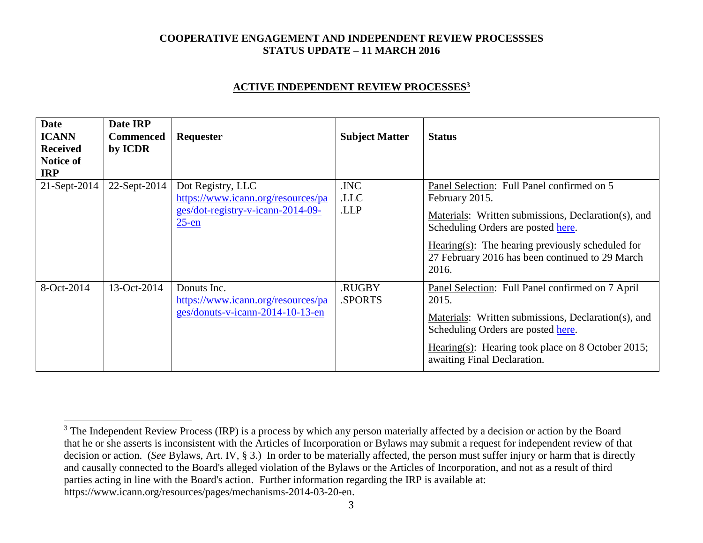### **ACTIVE INDEPENDENT REVIEW PROCESSES<sup>3</sup>**

| <b>Date</b><br><b>ICANN</b><br><b>Received</b><br><b>Notice of</b><br><b>IRP</b> | Date IRP<br><b>Commenced</b><br>by ICDR | <b>Requester</b>                                                                                         | <b>Subject Matter</b> | <b>Status</b>                                                                                                                                                                                                                                                                 |
|----------------------------------------------------------------------------------|-----------------------------------------|----------------------------------------------------------------------------------------------------------|-----------------------|-------------------------------------------------------------------------------------------------------------------------------------------------------------------------------------------------------------------------------------------------------------------------------|
| 21-Sept-2014                                                                     | 22-Sept-2014                            | Dot Registry, LLC<br>https://www.icann.org/resources/pa<br>ges/dot-registry-v-icann-2014-09-<br>$25$ -en | .INC<br>.LLC<br>.LLP  | Panel Selection: Full Panel confirmed on 5<br>February 2015.<br>Materials: Written submissions, Declaration(s), and<br>Scheduling Orders are posted here.<br>Hearing $(s)$ : The hearing previously scheduled for<br>27 February 2016 has been continued to 29 March<br>2016. |
| 8-Oct-2014                                                                       | 13-Oct-2014                             | Donuts Inc.<br>https://www.icann.org/resources/pa<br>ges/donuts-v-icann-2014-10-13-en                    | .RUGBY<br>.SPORTS     | Panel Selection: Full Panel confirmed on 7 April<br>2015.<br>Materials: Written submissions, Declaration(s), and<br>Scheduling Orders are posted here.<br>Hearing(s): Hearing took place on 8 October 2015;<br>awaiting Final Declaration.                                    |

 $3$  The Independent Review Process (IRP) is a process by which any person materially affected by a decision or action by the Board that he or she asserts is inconsistent with the Articles of Incorporation or Bylaws may submit a request for independent review of that decision or action. (*See* Bylaws, Art. IV, § 3.) In order to be materially affected, the person must suffer injury or harm that is directly and causally connected to the Board's alleged violation of the Bylaws or the Articles of Incorporation, and not as a result of third parties acting in line with the Board's action. Further information regarding the IRP is available at: https://www.icann.org/resources/pages/mechanisms-2014-03-20-en.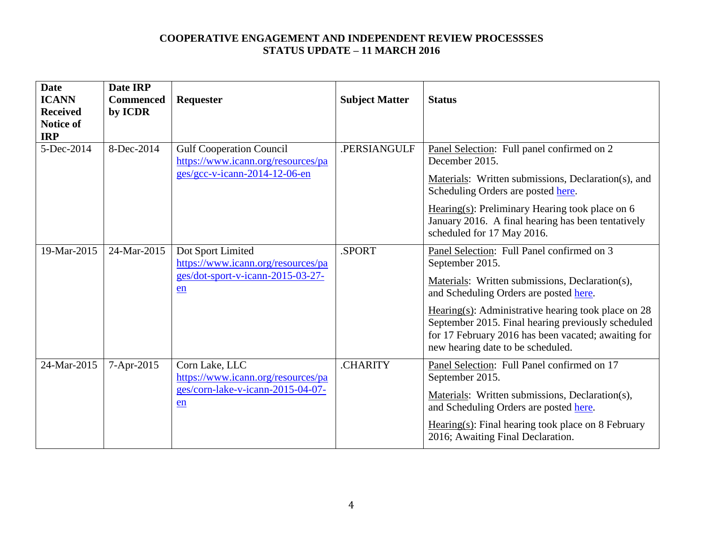| <b>Date</b><br><b>ICANN</b><br><b>Received</b><br><b>Notice of</b><br><b>IRP</b> | Date IRP<br><b>Commenced</b><br>by ICDR | Requester                                                                                                | <b>Subject Matter</b> | <b>Status</b>                                                                                                                                                                                                                                                                                                                                                         |
|----------------------------------------------------------------------------------|-----------------------------------------|----------------------------------------------------------------------------------------------------------|-----------------------|-----------------------------------------------------------------------------------------------------------------------------------------------------------------------------------------------------------------------------------------------------------------------------------------------------------------------------------------------------------------------|
| 5-Dec-2014                                                                       | 8-Dec-2014                              | <b>Gulf Cooperation Council</b><br>https://www.icann.org/resources/pa<br>$ges/gcc-v-icann-2014-12-06-en$ | .PERSIANGULF          | Panel Selection: Full panel confirmed on 2<br>December 2015.<br>Materials: Written submissions, Declaration(s), and<br>Scheduling Orders are posted here.<br>Hearing(s): Preliminary Hearing took place on $6$<br>January 2016. A final hearing has been tentatively<br>scheduled for 17 May 2016.                                                                    |
| 19-Mar-2015                                                                      | 24-Mar-2015                             | Dot Sport Limited<br>https://www.icann.org/resources/pa<br>ges/dot-sport-v-icann-2015-03-27-<br>en       | .SPORT                | Panel Selection: Full Panel confirmed on 3<br>September 2015.<br>Materials: Written submissions, Declaration(s),<br>and Scheduling Orders are posted here.<br>Hearing(s): Administrative hearing took place on $28$<br>September 2015. Final hearing previously scheduled<br>for 17 February 2016 has been vacated; awaiting for<br>new hearing date to be scheduled. |
| 24-Mar-2015                                                                      | 7-Apr-2015                              | Corn Lake, LLC<br>https://www.icann.org/resources/pa<br>ges/corn-lake-v-icann-2015-04-07-<br>en          | .CHARITY              | Panel Selection: Full Panel confirmed on 17<br>September 2015.<br>Materials: Written submissions, Declaration(s),<br>and Scheduling Orders are posted here.<br>$Hearing(s): Final hearing took place on 8 February$<br>2016; Awaiting Final Declaration.                                                                                                              |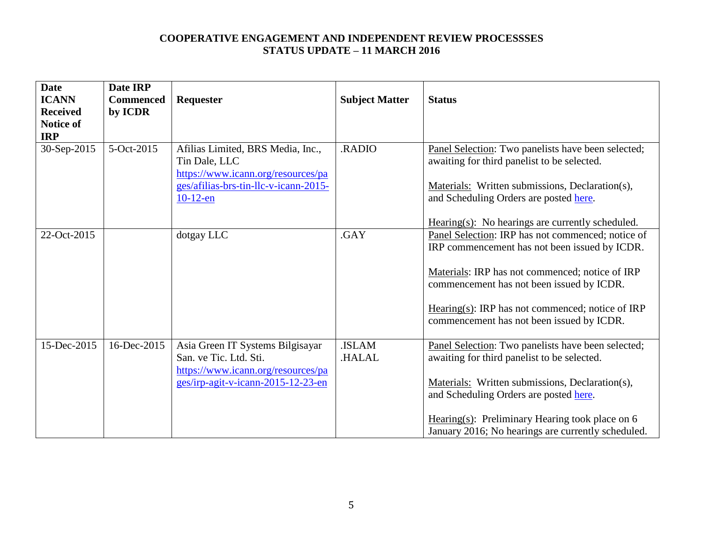| <b>Date</b><br><b>ICANN</b><br><b>Received</b><br><b>Notice of</b><br><b>IRP</b> | Date IRP<br><b>Commenced</b><br>by ICDR | Requester                                                                                                                                        | <b>Subject Matter</b>  | <b>Status</b>                                                                                                                                                                                                                                                                                             |
|----------------------------------------------------------------------------------|-----------------------------------------|--------------------------------------------------------------------------------------------------------------------------------------------------|------------------------|-----------------------------------------------------------------------------------------------------------------------------------------------------------------------------------------------------------------------------------------------------------------------------------------------------------|
| 30-Sep-2015                                                                      | 5-Oct-2015                              | Afilias Limited, BRS Media, Inc.,<br>Tin Dale, LLC<br>https://www.icann.org/resources/pa<br>ges/afilias-brs-tin-llc-v-icann-2015-<br>$10-12$ -en | <b>RADIO</b>           | Panel Selection: Two panelists have been selected;<br>awaiting for third panelist to be selected.<br>Materials: Written submissions, Declaration(s),<br>and Scheduling Orders are posted here.<br>$Hearing(s):$ No hearings are currently scheduled.                                                      |
| 22-Oct-2015                                                                      |                                         | dotgay LLC                                                                                                                                       | .GAY                   | Panel Selection: IRP has not commenced; notice of<br>IRP commencement has not been issued by ICDR.<br>Materials: IRP has not commenced; notice of IRP<br>commencement has not been issued by ICDR.<br>Hearing(s): IRP has not commenced; notice of IRP<br>commencement has not been issued by ICDR.       |
| 15-Dec-2015                                                                      | 16-Dec-2015                             | Asia Green IT Systems Bilgisayar<br>San. ve Tic. Ltd. Sti.<br>https://www.icann.org/resources/pa<br>ges/irp-agit-v-icann-2015-12-23-en           | .ISLAM<br><b>HALAL</b> | Panel Selection: Two panelists have been selected;<br>awaiting for third panelist to be selected.<br>Materials: Written submissions, Declaration(s),<br>and Scheduling Orders are posted here.<br>Hearing(s): Preliminary Hearing took place on $6$<br>January 2016; No hearings are currently scheduled. |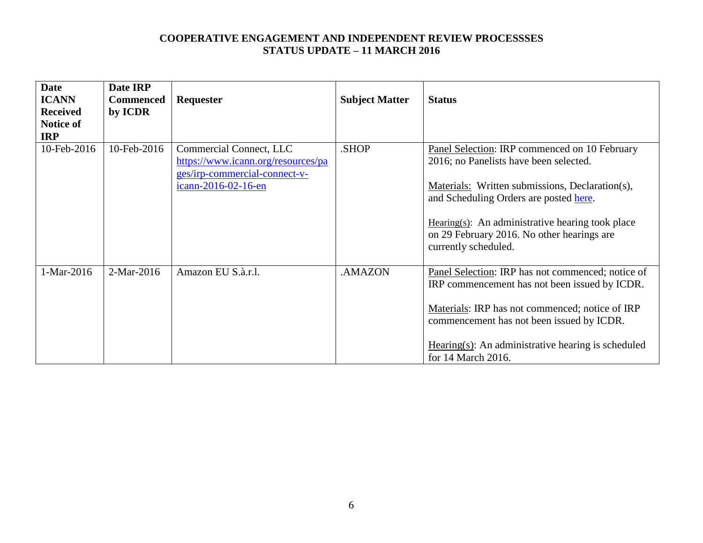| <b>Date</b><br><b>ICANN</b><br><b>Received</b><br>Notice of<br><b>IRP</b> | Date IRP<br><b>Commenced</b><br>by ICDR | Requester                                                                                                             | <b>Subject Matter</b> | <b>Status</b>                                                                                                                                                                                                                                                                                                  |
|---------------------------------------------------------------------------|-----------------------------------------|-----------------------------------------------------------------------------------------------------------------------|-----------------------|----------------------------------------------------------------------------------------------------------------------------------------------------------------------------------------------------------------------------------------------------------------------------------------------------------------|
| 10-Feb-2016                                                               | 10-Feb-2016                             | Commercial Connect, LLC<br>https://www.icann.org/resources/pa<br>ges/irp-commercial-connect-v-<br>icann-2016-02-16-en | .SHOP                 | Panel Selection: IRP commenced on 10 February<br>2016; no Panelists have been selected.<br>Materials: Written submissions, Declaration(s),<br>and Scheduling Orders are posted here.<br>Hearing(s): An administrative hearing took place<br>on 29 February 2016. No other hearings are<br>currently scheduled. |
| 1-Mar-2016                                                                | 2-Mar-2016                              | Amazon EU S.à.r.l.                                                                                                    | .AMAZON               | Panel Selection: IRP has not commenced; notice of<br>IRP commencement has not been issued by ICDR.<br>Materials: IRP has not commenced; notice of IRP<br>commencement has not been issued by ICDR.<br>$Hearing(s)$ : An administrative hearing is scheduled<br>for 14 March 2016.                              |